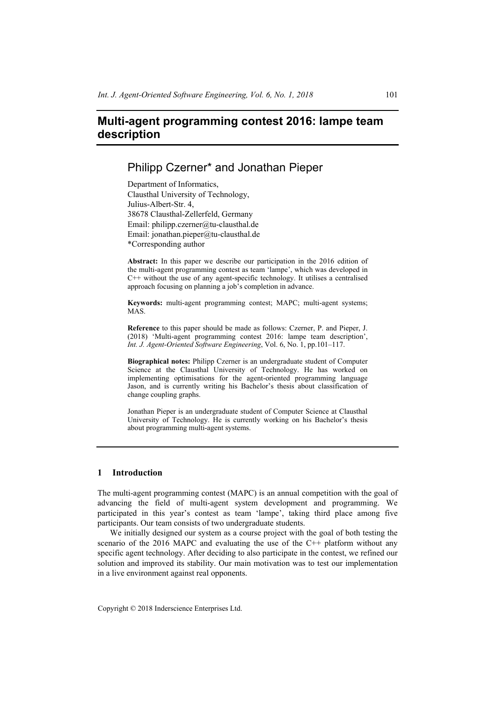# **Multi-agent programming contest 2016: lampe team description**

# Philipp Czerner\* and Jonathan Pieper

Department of Informatics, Clausthal University of Technology, Julius-Albert-Str. 4, 38678 Clausthal-Zellerfeld, Germany Email: philipp.czerner@tu-clausthal.de Email: jonathan.pieper@tu-clausthal.de \*Corresponding author

**Abstract:** In this paper we describe our participation in the 2016 edition of the multi-agent programming contest as team 'lampe', which was developed in C++ without the use of any agent-specific technology. It utilises a centralised approach focusing on planning a job's completion in advance.

**Keywords:** multi-agent programming contest; MAPC; multi-agent systems; MAS.

**Reference** to this paper should be made as follows: Czerner, P. and Pieper, J. (2018) 'Multi-agent programming contest 2016: lampe team description', *Int. J. Agent-Oriented Software Engineering*, Vol. 6, No. 1, pp.101–117.

**Biographical notes:** Philipp Czerner is an undergraduate student of Computer Science at the Clausthal University of Technology. He has worked on implementing optimisations for the agent-oriented programming language Jason, and is currently writing his Bachelor's thesis about classification of change coupling graphs.

Jonathan Pieper is an undergraduate student of Computer Science at Clausthal University of Technology. He is currently working on his Bachelor's thesis about programming multi-agent systems.

# **1 Introduction**

The multi-agent programming contest (MAPC) is an annual competition with the goal of advancing the field of multi-agent system development and programming. We participated in this year's contest as team 'lampe', taking third place among five participants. Our team consists of two undergraduate students.

We initially designed our system as a course project with the goal of both testing the scenario of the 2016 MAPC and evaluating the use of the  $C++$  platform without any specific agent technology. After deciding to also participate in the contest, we refined our solution and improved its stability. Our main motivation was to test our implementation in a live environment against real opponents.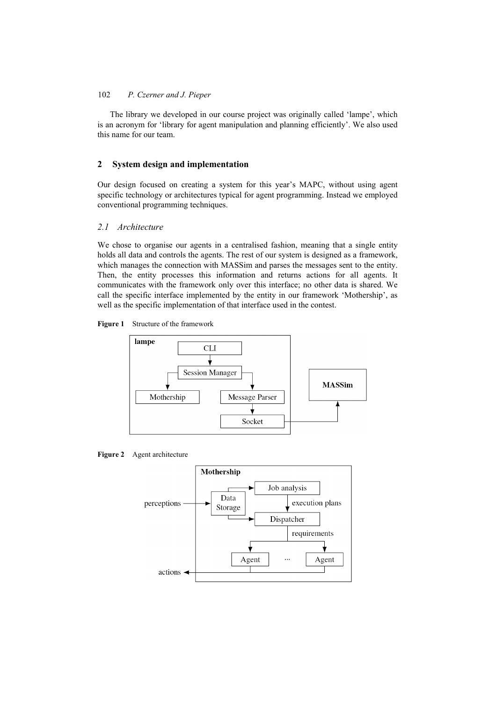The library we developed in our course project was originally called 'lampe', which is an acronym for 'library for agent manipulation and planning efficiently'. We also used this name for our team.

# **2 System design and implementation**

Our design focused on creating a system for this year's MAPC, without using agent specific technology or architectures typical for agent programming. Instead we employed conventional programming techniques.

# *2.1 Architecture*

We chose to organise our agents in a centralised fashion, meaning that a single entity holds all data and controls the agents. The rest of our system is designed as a framework, which manages the connection with MASSim and parses the messages sent to the entity. Then, the entity processes this information and returns actions for all agents. It communicates with the framework only over this interface; no other data is shared. We call the specific interface implemented by the entity in our framework 'Mothership', as well as the specific implementation of that interface used in the contest.

#### **Figure 1** Structure of the framework



**Figure 2** Agent architecture

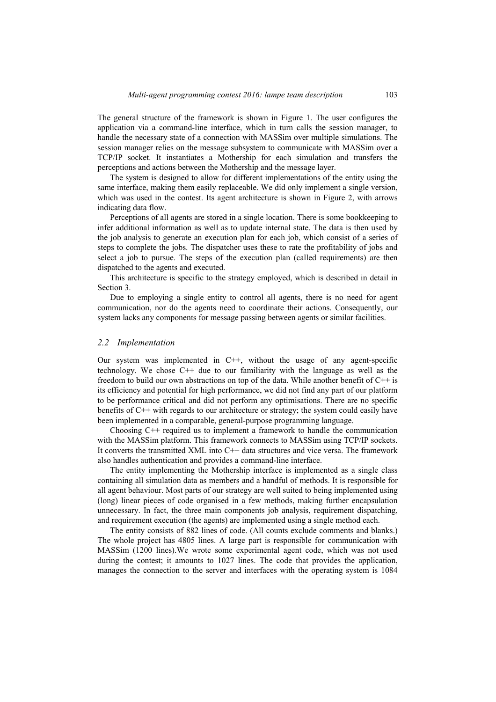The general structure of the framework is shown in Figure 1. The user configures the application via a command-line interface, which in turn calls the session manager, to handle the necessary state of a connection with MASSim over multiple simulations. The session manager relies on the message subsystem to communicate with MASSim over a TCP/IP socket. It instantiates a Mothership for each simulation and transfers the perceptions and actions between the Mothership and the message layer.

The system is designed to allow for different implementations of the entity using the same interface, making them easily replaceable. We did only implement a single version, which was used in the contest. Its agent architecture is shown in Figure 2, with arrows indicating data flow.

Perceptions of all agents are stored in a single location. There is some bookkeeping to infer additional information as well as to update internal state. The data is then used by the job analysis to generate an execution plan for each job, which consist of a series of steps to complete the jobs. The dispatcher uses these to rate the profitability of jobs and select a job to pursue. The steps of the execution plan (called requirements) are then dispatched to the agents and executed.

This architecture is specific to the strategy employed, which is described in detail in Section 3.

Due to employing a single entity to control all agents, there is no need for agent communication, nor do the agents need to coordinate their actions. Consequently, our system lacks any components for message passing between agents or similar facilities.

#### *2.2 Implementation*

Our system was implemented in  $C++$ , without the usage of any agent-specific technology. We chose C++ due to our familiarity with the language as well as the freedom to build our own abstractions on top of the data. While another benefit of  $C++$  is its efficiency and potential for high performance, we did not find any part of our platform to be performance critical and did not perform any optimisations. There are no specific benefits of C++ with regards to our architecture or strategy; the system could easily have been implemented in a comparable, general-purpose programming language.

Choosing  $C^{++}$  required us to implement a framework to handle the communication with the MASSim platform. This framework connects to MASSim using TCP/IP sockets. It converts the transmitted XML into C++ data structures and vice versa. The framework also handles authentication and provides a command-line interface.

The entity implementing the Mothership interface is implemented as a single class containing all simulation data as members and a handful of methods. It is responsible for all agent behaviour. Most parts of our strategy are well suited to being implemented using (long) linear pieces of code organised in a few methods, making further encapsulation unnecessary. In fact, the three main components job analysis, requirement dispatching, and requirement execution (the agents) are implemented using a single method each.

The entity consists of 882 lines of code. (All counts exclude comments and blanks.) The whole project has 4805 lines. A large part is responsible for communication with MASSim (1200 lines).We wrote some experimental agent code, which was not used during the contest; it amounts to 1027 lines. The code that provides the application, manages the connection to the server and interfaces with the operating system is 1084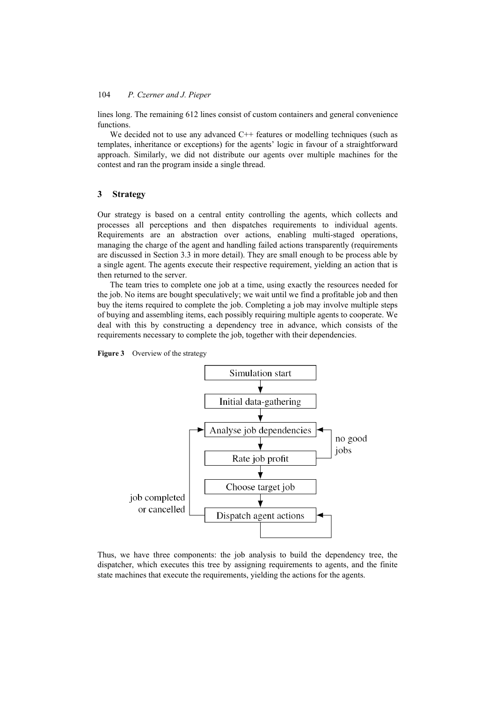lines long. The remaining 612 lines consist of custom containers and general convenience functions.

We decided not to use any advanced  $C++$  features or modelling techniques (such as templates, inheritance or exceptions) for the agents' logic in favour of a straightforward approach. Similarly, we did not distribute our agents over multiple machines for the contest and ran the program inside a single thread.

#### **3 Strategy**

Our strategy is based on a central entity controlling the agents, which collects and processes all perceptions and then dispatches requirements to individual agents. Requirements are an abstraction over actions, enabling multi-staged operations, managing the charge of the agent and handling failed actions transparently (requirements are discussed in Section 3.3 in more detail). They are small enough to be process able by a single agent. The agents execute their respective requirement, yielding an action that is then returned to the server.

The team tries to complete one job at a time, using exactly the resources needed for the job. No items are bought speculatively; we wait until we find a profitable job and then buy the items required to complete the job. Completing a job may involve multiple steps of buying and assembling items, each possibly requiring multiple agents to cooperate. We deal with this by constructing a dependency tree in advance, which consists of the requirements necessary to complete the job, together with their dependencies.



**Figure 3** Overview of the strategy

Thus, we have three components: the job analysis to build the dependency tree, the dispatcher, which executes this tree by assigning requirements to agents, and the finite state machines that execute the requirements, yielding the actions for the agents.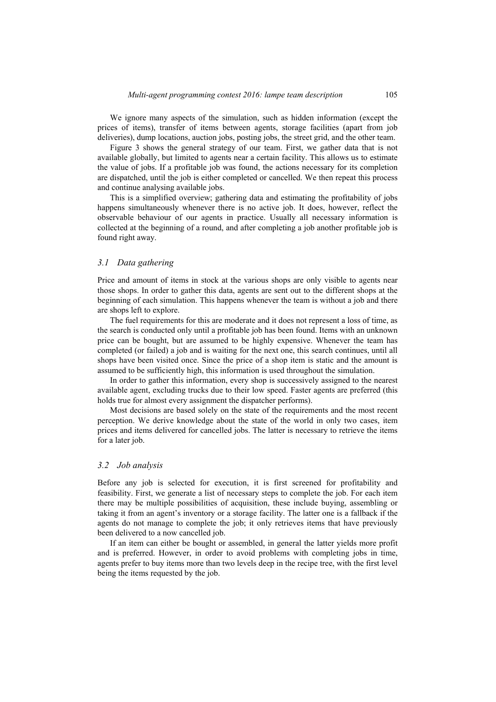We ignore many aspects of the simulation, such as hidden information (except the prices of items), transfer of items between agents, storage facilities (apart from job deliveries), dump locations, auction jobs, posting jobs, the street grid, and the other team.

Figure 3 shows the general strategy of our team. First, we gather data that is not available globally, but limited to agents near a certain facility. This allows us to estimate the value of jobs. If a profitable job was found, the actions necessary for its completion are dispatched, until the job is either completed or cancelled. We then repeat this process and continue analysing available jobs.

This is a simplified overview; gathering data and estimating the profitability of jobs happens simultaneously whenever there is no active job. It does, however, reflect the observable behaviour of our agents in practice. Usually all necessary information is collected at the beginning of a round, and after completing a job another profitable job is found right away.

## *3.1 Data gathering*

Price and amount of items in stock at the various shops are only visible to agents near those shops. In order to gather this data, agents are sent out to the different shops at the beginning of each simulation. This happens whenever the team is without a job and there are shops left to explore.

The fuel requirements for this are moderate and it does not represent a loss of time, as the search is conducted only until a profitable job has been found. Items with an unknown price can be bought, but are assumed to be highly expensive. Whenever the team has completed (or failed) a job and is waiting for the next one, this search continues, until all shops have been visited once. Since the price of a shop item is static and the amount is assumed to be sufficiently high, this information is used throughout the simulation.

In order to gather this information, every shop is successively assigned to the nearest available agent, excluding trucks due to their low speed. Faster agents are preferred (this holds true for almost every assignment the dispatcher performs).

Most decisions are based solely on the state of the requirements and the most recent perception. We derive knowledge about the state of the world in only two cases, item prices and items delivered for cancelled jobs. The latter is necessary to retrieve the items for a later job.

### *3.2 Job analysis*

Before any job is selected for execution, it is first screened for profitability and feasibility. First, we generate a list of necessary steps to complete the job. For each item there may be multiple possibilities of acquisition, these include buying, assembling or taking it from an agent's inventory or a storage facility. The latter one is a fallback if the agents do not manage to complete the job; it only retrieves items that have previously been delivered to a now cancelled job.

If an item can either be bought or assembled, in general the latter yields more profit and is preferred. However, in order to avoid problems with completing jobs in time, agents prefer to buy items more than two levels deep in the recipe tree, with the first level being the items requested by the job.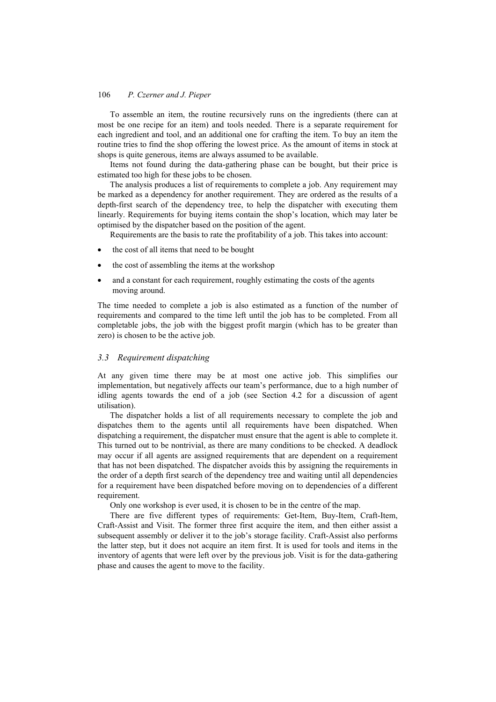To assemble an item, the routine recursively runs on the ingredients (there can at most be one recipe for an item) and tools needed. There is a separate requirement for each ingredient and tool, and an additional one for crafting the item. To buy an item the routine tries to find the shop offering the lowest price. As the amount of items in stock at shops is quite generous, items are always assumed to be available.

Items not found during the data-gathering phase can be bought, but their price is estimated too high for these jobs to be chosen.

The analysis produces a list of requirements to complete a job. Any requirement may be marked as a dependency for another requirement. They are ordered as the results of a depth-first search of the dependency tree, to help the dispatcher with executing them linearly. Requirements for buying items contain the shop's location, which may later be optimised by the dispatcher based on the position of the agent.

Requirements are the basis to rate the profitability of a job. This takes into account:

- the cost of all items that need to be bought
- the cost of assembling the items at the workshop
- and a constant for each requirement, roughly estimating the costs of the agents moving around.

The time needed to complete a job is also estimated as a function of the number of requirements and compared to the time left until the job has to be completed. From all completable jobs, the job with the biggest profit margin (which has to be greater than zero) is chosen to be the active job.

#### *3.3 Requirement dispatching*

At any given time there may be at most one active job. This simplifies our implementation, but negatively affects our team's performance, due to a high number of idling agents towards the end of a job (see Section 4.2 for a discussion of agent utilisation).

The dispatcher holds a list of all requirements necessary to complete the job and dispatches them to the agents until all requirements have been dispatched. When dispatching a requirement, the dispatcher must ensure that the agent is able to complete it. This turned out to be nontrivial, as there are many conditions to be checked. A deadlock may occur if all agents are assigned requirements that are dependent on a requirement that has not been dispatched. The dispatcher avoids this by assigning the requirements in the order of a depth first search of the dependency tree and waiting until all dependencies for a requirement have been dispatched before moving on to dependencies of a different requirement.

Only one workshop is ever used, it is chosen to be in the centre of the map.

There are five different types of requirements: Get-Item, Buy-Item, Craft-Item, Craft-Assist and Visit. The former three first acquire the item, and then either assist a subsequent assembly or deliver it to the job's storage facility. Craft-Assist also performs the latter step, but it does not acquire an item first. It is used for tools and items in the inventory of agents that were left over by the previous job. Visit is for the data-gathering phase and causes the agent to move to the facility.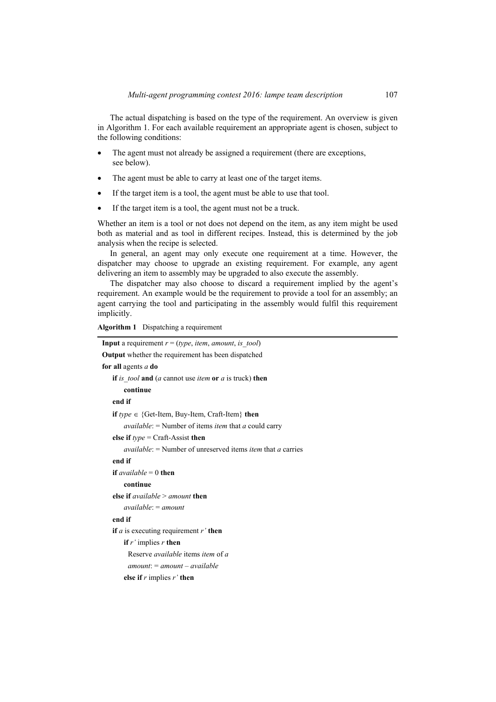The actual dispatching is based on the type of the requirement. An overview is given in Algorithm 1. For each available requirement an appropriate agent is chosen, subject to the following conditions:

- The agent must not already be assigned a requirement (there are exceptions, see below).
- The agent must be able to carry at least one of the target items.
- If the target item is a tool, the agent must be able to use that tool.
- If the target item is a tool, the agent must not be a truck.

Whether an item is a tool or not does not depend on the item, as any item might be used both as material and as tool in different recipes. Instead, this is determined by the job analysis when the recipe is selected.

In general, an agent may only execute one requirement at a time. However, the dispatcher may choose to upgrade an existing requirement. For example, any agent delivering an item to assembly may be upgraded to also execute the assembly.

The dispatcher may also choose to discard a requirement implied by the agent's requirement. An example would be the requirement to provide a tool for an assembly; an agent carrying the tool and participating in the assembly would fulfil this requirement implicitly.

**Algorithm 1** Dispatching a requirement

| <b>Input</b> a requirement $r = (type, item, amount, is tool)$                      |
|-------------------------------------------------------------------------------------|
| Output whether the requirement has been dispatched                                  |
| for all agents a do                                                                 |
| if is tool and (a cannot use <i>item</i> or a is truck) then                        |
| continue                                                                            |
| end if                                                                              |
| <b>if</b> type $\in$ {Get-Item, Buy-Item, Craft-Item} <b>then</b>                   |
| $available$ : = Number of items <i>item</i> that $a$ could carry                    |
| else if $type = \text{Craff-Assist}$ then                                           |
| <i>available</i> : $=$ Number of unreserved items <i>item</i> that <i>a</i> carries |
| end if                                                                              |
| if <i>available</i> = 0 then                                                        |
| continue                                                                            |
| else if <i>available</i> > <i>amount</i> then                                       |
| $available$ : = amount                                                              |
| end if                                                                              |
| if <i>a</i> is executing requirement $r'$ then                                      |
| if $r'$ implies $r$ then                                                            |
| Reserve <i>available</i> items <i>item</i> of a                                     |
| $amount: = amount - available$                                                      |
| else if $r$ implies $r'$ then                                                       |
|                                                                                     |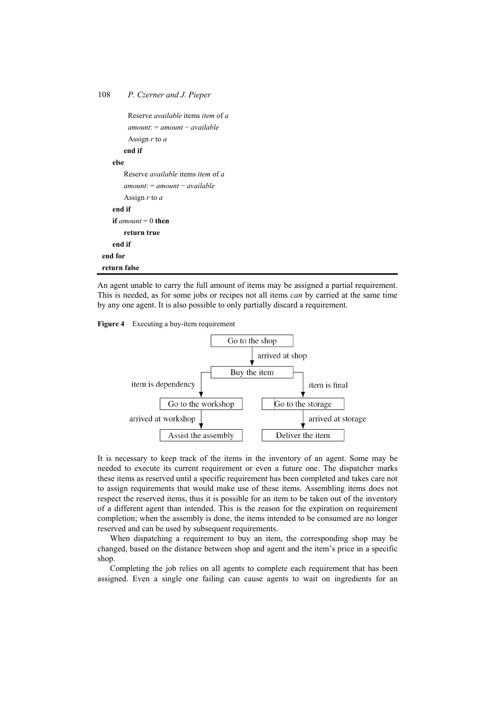```
 Reserve available items item of a
         amount: = amount − available 
          Assign r to a 
       end if
   else 
        Reserve available items item of a 
       amount: = amount − available 
        Assign r to a 
   end if
   if amount = 0 then 
       return true 
   end if 
end for 
return false
```
An agent unable to carry the full amount of items may be assigned a partial requirement. This is needed, as for some jobs or recipes not all items *can* by carried at the same time by any one agent. It is also possible to only partially discard a requirement.





It is necessary to keep track of the items in the inventory of an agent. Some may be needed to execute its current requirement or even a future one. The dispatcher marks these items as reserved until a specific requirement has been completed and takes care not to assign requirements that would make use of these items. Assembling items does not respect the reserved items, thus it is possible for an item to be taken out of the inventory of a different agent than intended. This is the reason for the expiration on requirement completion; when the assembly is done, the items intended to be consumed are no longer reserved and can be used by subsequent requirements.

When dispatching a requirement to buy an item, the corresponding shop may be changed, based on the distance between shop and agent and the item's price in a specific shop.

Completing the job relies on all agents to complete each requirement that has been assigned. Even a single one failing can cause agents to wait on ingredients for an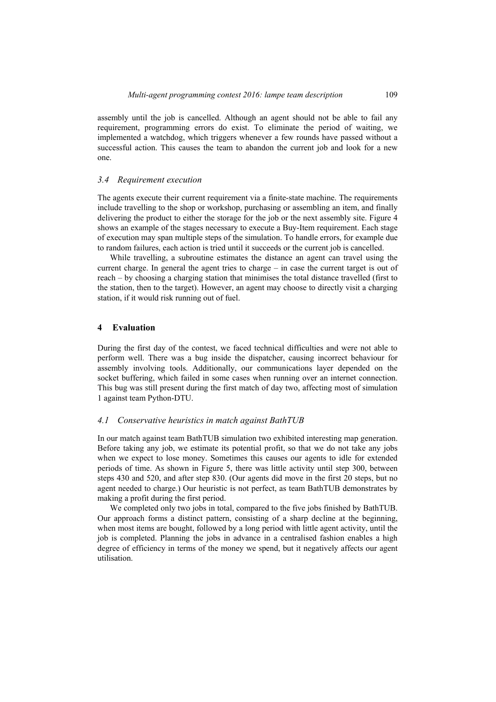assembly until the job is cancelled. Although an agent should not be able to fail any requirement, programming errors do exist. To eliminate the period of waiting, we implemented a watchdog, which triggers whenever a few rounds have passed without a successful action. This causes the team to abandon the current job and look for a new one.

### *3.4 Requirement execution*

The agents execute their current requirement via a finite-state machine. The requirements include travelling to the shop or workshop, purchasing or assembling an item, and finally delivering the product to either the storage for the job or the next assembly site. Figure 4 shows an example of the stages necessary to execute a Buy-Item requirement. Each stage of execution may span multiple steps of the simulation. To handle errors, for example due to random failures, each action is tried until it succeeds or the current job is cancelled.

While travelling, a subroutine estimates the distance an agent can travel using the current charge. In general the agent tries to charge – in case the current target is out of reach – by choosing a charging station that minimises the total distance travelled (first to the station, then to the target). However, an agent may choose to directly visit a charging station, if it would risk running out of fuel.

## **4 Evaluation**

During the first day of the contest, we faced technical difficulties and were not able to perform well. There was a bug inside the dispatcher, causing incorrect behaviour for assembly involving tools. Additionally, our communications layer depended on the socket buffering, which failed in some cases when running over an internet connection. This bug was still present during the first match of day two, affecting most of simulation 1 against team Python-DTU.

#### *4.1 Conservative heuristics in match against BathTUB*

In our match against team BathTUB simulation two exhibited interesting map generation. Before taking any job, we estimate its potential profit, so that we do not take any jobs when we expect to lose money. Sometimes this causes our agents to idle for extended periods of time. As shown in Figure 5, there was little activity until step 300, between steps 430 and 520, and after step 830. (Our agents did move in the first 20 steps, but no agent needed to charge.) Our heuristic is not perfect, as team BathTUB demonstrates by making a profit during the first period.

We completed only two jobs in total, compared to the five jobs finished by BathTUB. Our approach forms a distinct pattern, consisting of a sharp decline at the beginning, when most items are bought, followed by a long period with little agent activity, until the job is completed. Planning the jobs in advance in a centralised fashion enables a high degree of efficiency in terms of the money we spend, but it negatively affects our agent utilisation.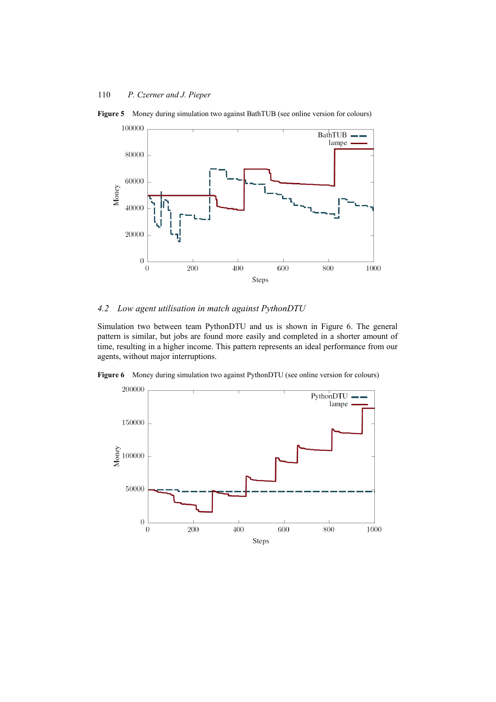

Figure 5 Money during simulation two against BathTUB (see online version for colours)

# *4.2 Low agent utilisation in match against PythonDTU*

Simulation two between team PythonDTU and us is shown in Figure 6. The general pattern is similar, but jobs are found more easily and completed in a shorter amount of time, resulting in a higher income. This pattern represents an ideal performance from our agents, without major interruptions.

**Figure 6** Money during simulation two against PythonDTU (see online version for colours)

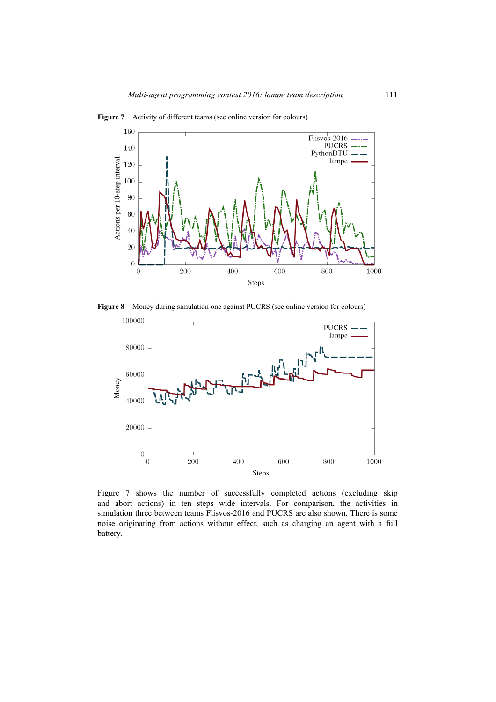

Figure 7 Activity of different teams (see online version for colours)

**Figure 8** Money during simulation one against PUCRS (see online version for colours)



Figure 7 shows the number of successfully completed actions (excluding skip and abort actions) in ten steps wide intervals. For comparison, the activities in simulation three between teams Flisvos-2016 and PUCRS are also shown. There is some noise originating from actions without effect, such as charging an agent with a full battery.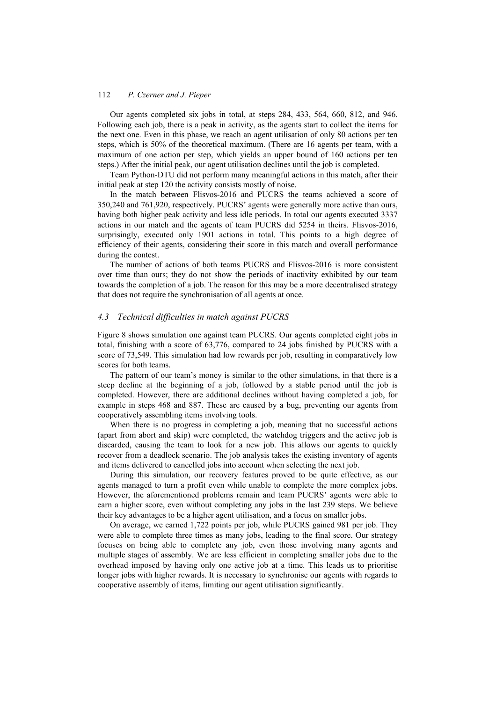Our agents completed six jobs in total, at steps 284, 433, 564, 660, 812, and 946. Following each job, there is a peak in activity, as the agents start to collect the items for the next one. Even in this phase, we reach an agent utilisation of only 80 actions per ten steps, which is 50% of the theoretical maximum. (There are 16 agents per team, with a maximum of one action per step, which yields an upper bound of 160 actions per ten steps.) After the initial peak, our agent utilisation declines until the job is completed.

Team Python-DTU did not perform many meaningful actions in this match, after their initial peak at step 120 the activity consists mostly of noise.

In the match between Flisvos-2016 and PUCRS the teams achieved a score of 350,240 and 761,920, respectively. PUCRS' agents were generally more active than ours, having both higher peak activity and less idle periods. In total our agents executed 3337 actions in our match and the agents of team PUCRS did 5254 in theirs. Flisvos-2016, surprisingly, executed only 1901 actions in total. This points to a high degree of efficiency of their agents, considering their score in this match and overall performance during the contest.

The number of actions of both teams PUCRS and Flisvos-2016 is more consistent over time than ours; they do not show the periods of inactivity exhibited by our team towards the completion of a job. The reason for this may be a more decentralised strategy that does not require the synchronisation of all agents at once.

### *4.3 Technical difficulties in match against PUCRS*

Figure 8 shows simulation one against team PUCRS. Our agents completed eight jobs in total, finishing with a score of 63,776, compared to 24 jobs finished by PUCRS with a score of 73,549. This simulation had low rewards per job, resulting in comparatively low scores for both teams.

The pattern of our team's money is similar to the other simulations, in that there is a steep decline at the beginning of a job, followed by a stable period until the job is completed. However, there are additional declines without having completed a job, for example in steps 468 and 887. These are caused by a bug, preventing our agents from cooperatively assembling items involving tools.

When there is no progress in completing a job, meaning that no successful actions (apart from abort and skip) were completed, the watchdog triggers and the active job is discarded, causing the team to look for a new job. This allows our agents to quickly recover from a deadlock scenario. The job analysis takes the existing inventory of agents and items delivered to cancelled jobs into account when selecting the next job.

During this simulation, our recovery features proved to be quite effective, as our agents managed to turn a profit even while unable to complete the more complex jobs. However, the aforementioned problems remain and team PUCRS' agents were able to earn a higher score, even without completing any jobs in the last 239 steps. We believe their key advantages to be a higher agent utilisation, and a focus on smaller jobs.

On average, we earned 1,722 points per job, while PUCRS gained 981 per job. They were able to complete three times as many jobs, leading to the final score. Our strategy focuses on being able to complete any job, even those involving many agents and multiple stages of assembly. We are less efficient in completing smaller jobs due to the overhead imposed by having only one active job at a time. This leads us to prioritise longer jobs with higher rewards. It is necessary to synchronise our agents with regards to cooperative assembly of items, limiting our agent utilisation significantly.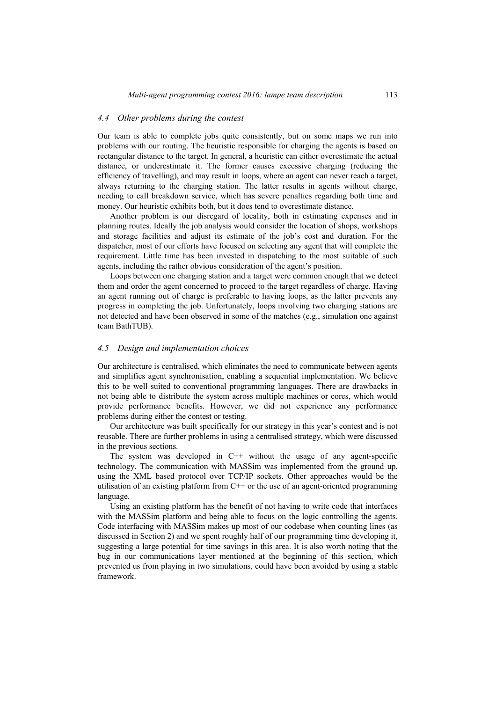# *4.4 Other problems during the contest*

Our team is able to complete jobs quite consistently, but on some maps we run into problems with our routing. The heuristic responsible for charging the agents is based on rectangular distance to the target. In general, a heuristic can either overestimate the actual distance, or underestimate it. The former causes excessive charging (reducing the efficiency of travelling), and may result in loops, where an agent can never reach a target, always returning to the charging station. The latter results in agents without charge, needing to call breakdown service, which has severe penalties regarding both time and money. Our heuristic exhibits both, but it does tend to overestimate distance.

Another problem is our disregard of locality, both in estimating expenses and in planning routes. Ideally the job analysis would consider the location of shops, workshops and storage facilities and adjust its estimate of the job's cost and duration. For the dispatcher, most of our efforts have focused on selecting any agent that will complete the requirement. Little time has been invested in dispatching to the most suitable of such agents, including the rather obvious consideration of the agent's position.

Loops between one charging station and a target were common enough that we detect them and order the agent concerned to proceed to the target regardless of charge. Having an agent running out of charge is preferable to having loops, as the latter prevents any progress in completing the job. Unfortunately, loops involving two charging stations are not detected and have been observed in some of the matches (e.g., simulation one against team BathTUB).

#### *4.5 Design and implementation choices*

Our architecture is centralised, which eliminates the need to communicate between agents and simplifies agent synchronisation, enabling a sequential implementation. We believe this to be well suited to conventional programming languages. There are drawbacks in not being able to distribute the system across multiple machines or cores, which would provide performance benefits. However, we did not experience any performance problems during either the contest or testing.

Our architecture was built specifically for our strategy in this year's contest and is not reusable. There are further problems in using a centralised strategy, which were discussed in the previous sections.

The system was developed in  $C++$  without the usage of any agent-specific technology. The communication with MASSim was implemented from the ground up, using the XML based protocol over TCP/IP sockets. Other approaches would be the utilisation of an existing platform from  $C++$  or the use of an agent-oriented programming language.

Using an existing platform has the benefit of not having to write code that interfaces with the MASSim platform and being able to focus on the logic controlling the agents. Code interfacing with MASSim makes up most of our codebase when counting lines (as discussed in Section 2) and we spent roughly half of our programming time developing it, suggesting a large potential for time savings in this area. It is also worth noting that the bug in our communications layer mentioned at the beginning of this section, which prevented us from playing in two simulations, could have been avoided by using a stable framework.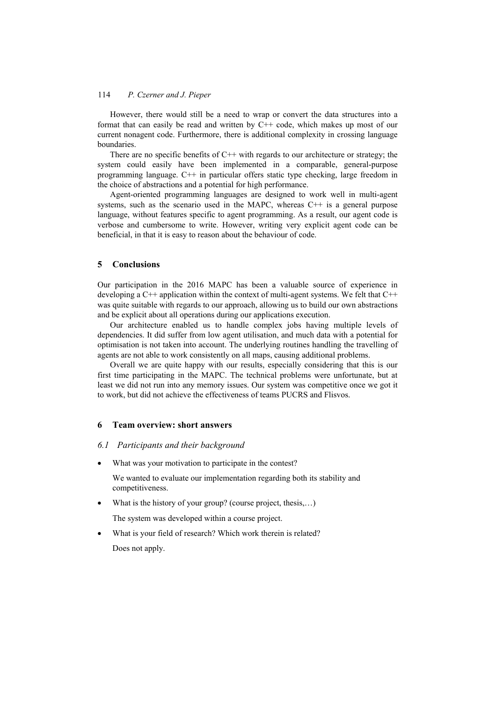However, there would still be a need to wrap or convert the data structures into a format that can easily be read and written by  $C++$  code, which makes up most of our current nonagent code. Furthermore, there is additional complexity in crossing language boundaries.

There are no specific benefits of  $C^{++}$  with regards to our architecture or strategy; the system could easily have been implemented in a comparable, general-purpose programming language. C++ in particular offers static type checking, large freedom in the choice of abstractions and a potential for high performance.

Agent-oriented programming languages are designed to work well in multi-agent systems, such as the scenario used in the MAPC, whereas C++ is a general purpose language, without features specific to agent programming. As a result, our agent code is verbose and cumbersome to write. However, writing very explicit agent code can be beneficial, in that it is easy to reason about the behaviour of code.

## **5 Conclusions**

Our participation in the 2016 MAPC has been a valuable source of experience in developing a  $C^{++}$  application within the context of multi-agent systems. We felt that  $C^{++}$ was quite suitable with regards to our approach, allowing us to build our own abstractions and be explicit about all operations during our applications execution.

Our architecture enabled us to handle complex jobs having multiple levels of dependencies. It did suffer from low agent utilisation, and much data with a potential for optimisation is not taken into account. The underlying routines handling the travelling of agents are not able to work consistently on all maps, causing additional problems.

Overall we are quite happy with our results, especially considering that this is our first time participating in the MAPC. The technical problems were unfortunate, but at least we did not run into any memory issues. Our system was competitive once we got it to work, but did not achieve the effectiveness of teams PUCRS and Flisvos.

# **6 Team overview: short answers**

#### *6.1 Participants and their background*

What was your motivation to participate in the contest?

We wanted to evaluate our implementation regarding both its stability and competitiveness.

What is the history of your group? (course project, thesis,...)

The system was developed within a course project.

What is your field of research? Which work therein is related? Does not apply.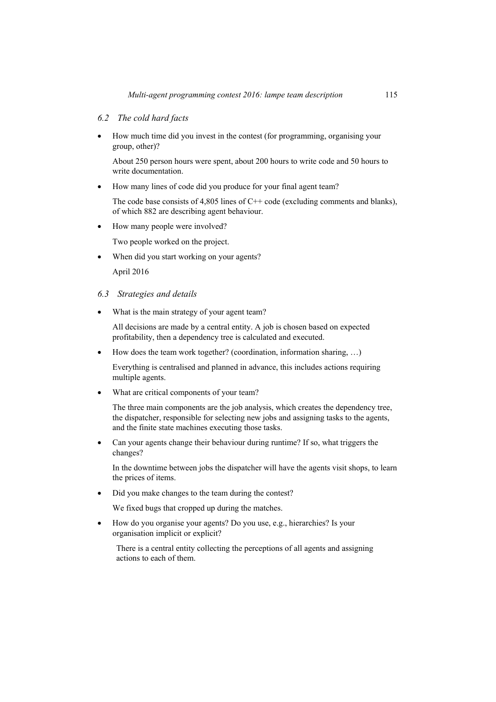# *6.2 The cold hard facts*

• How much time did you invest in the contest (for programming, organising your group, other)?

About 250 person hours were spent, about 200 hours to write code and 50 hours to write documentation.

• How many lines of code did you produce for your final agent team?

The code base consists of 4,805 lines of C++ code (excluding comments and blanks), of which 882 are describing agent behaviour.

• How many people were involved?

Two people worked on the project.

- When did you start working on your agents? April 2016
- *6.3 Strategies and details*
- What is the main strategy of your agent team?

All decisions are made by a central entity. A job is chosen based on expected profitability, then a dependency tree is calculated and executed.

• How does the team work together? (coordination, information sharing, ...)

Everything is centralised and planned in advance, this includes actions requiring multiple agents.

• What are critical components of your team?

The three main components are the job analysis, which creates the dependency tree, the dispatcher, responsible for selecting new jobs and assigning tasks to the agents, and the finite state machines executing those tasks.

• Can your agents change their behaviour during runtime? If so, what triggers the changes?

In the downtime between jobs the dispatcher will have the agents visit shops, to learn the prices of items.

• Did you make changes to the team during the contest?

We fixed bugs that cropped up during the matches.

• How do you organise your agents? Do you use, e.g., hierarchies? Is your organisation implicit or explicit?

There is a central entity collecting the perceptions of all agents and assigning actions to each of them.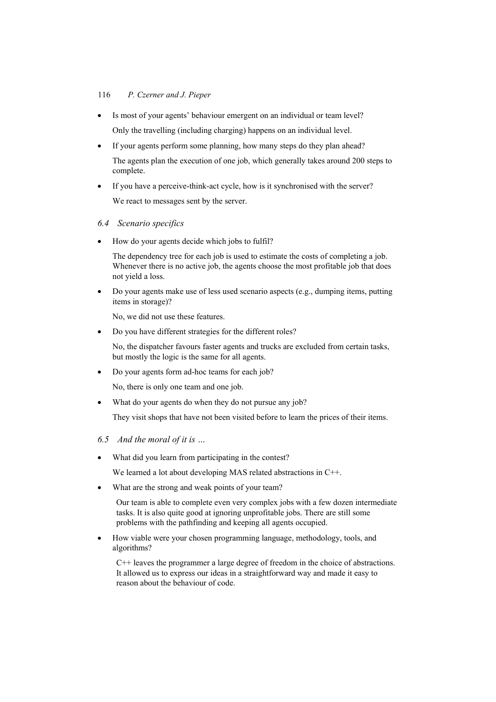- Is most of your agents' behaviour emergent on an individual or team level? Only the travelling (including charging) happens on an individual level.
- If your agents perform some planning, how many steps do they plan ahead? The agents plan the execution of one job, which generally takes around 200 steps to complete.
- If you have a perceive-think-act cycle, how is it synchronised with the server? We react to messages sent by the server.

# *6.4 Scenario specifics*

• How do your agents decide which jobs to fulfil?

The dependency tree for each job is used to estimate the costs of completing a job. Whenever there is no active job, the agents choose the most profitable job that does not yield a loss.

• Do your agents make use of less used scenario aspects (e.g., dumping items, putting items in storage)?

No, we did not use these features.

• Do you have different strategies for the different roles?

No, the dispatcher favours faster agents and trucks are excluded from certain tasks, but mostly the logic is the same for all agents.

• Do your agents form ad-hoc teams for each job?

No, there is only one team and one job.

What do your agents do when they do not pursue any job?

They visit shops that have not been visited before to learn the prices of their items.

#### *6.5 And the moral of it is …*

What did you learn from participating in the contest?

We learned a lot about developing MAS related abstractions in C++.

What are the strong and weak points of your team?

Our team is able to complete even very complex jobs with a few dozen intermediate tasks. It is also quite good at ignoring unprofitable jobs. There are still some problems with the pathfinding and keeping all agents occupied.

• How viable were your chosen programming language, methodology, tools, and algorithms?

C++ leaves the programmer a large degree of freedom in the choice of abstractions. It allowed us to express our ideas in a straightforward way and made it easy to reason about the behaviour of code.